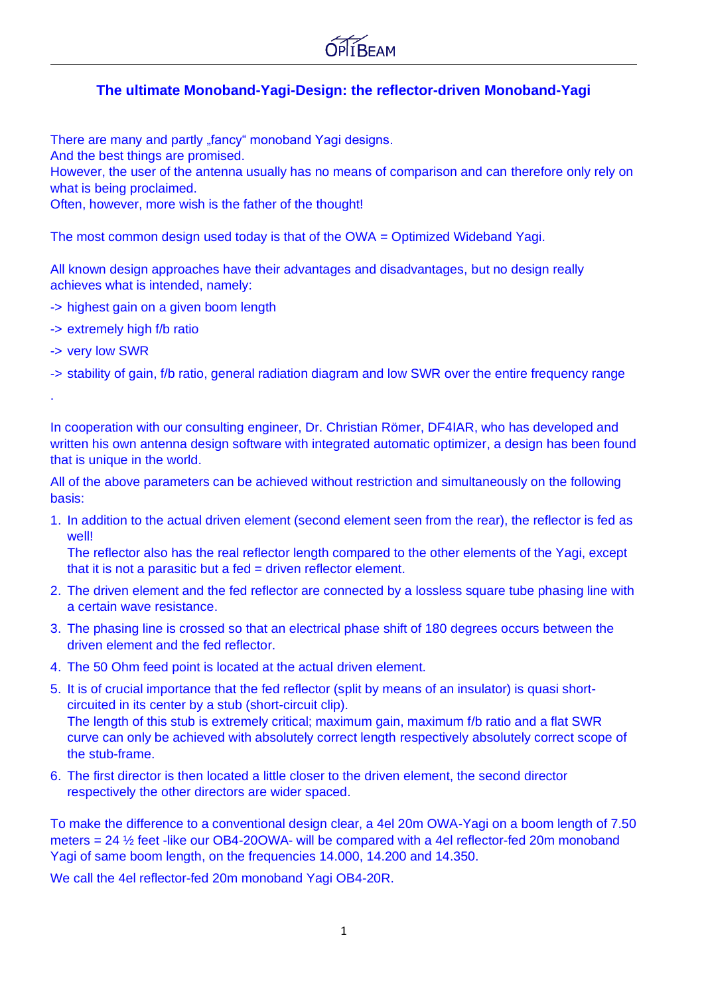

#### **The ultimate Monoband-Yagi-Design: the reflector-driven Monoband-Yagi**

There are many and partly "fancy" monoband Yagi designs.

And the best things are promised.

However, the user of the antenna usually has no means of comparison and can therefore only rely on what is being proclaimed.

Often, however, more wish is the father of the thought!

The most common design used today is that of the OWA = Optimized Wideband Yagi.

All known design approaches have their advantages and disadvantages, but no design really achieves what is intended, namely:

- -> highest gain on a given boom length
- -> extremely high f/b ratio
- -> very low SWR

.

-> stability of gain, f/b ratio, general radiation diagram and low SWR over the entire frequency range

In cooperation with our consulting engineer, Dr. Christian Römer, DF4IAR, who has developed and written his own antenna design software with integrated automatic optimizer, a design has been found that is unique in the world.

All of the above parameters can be achieved without restriction and simultaneously on the following basis:

1. In addition to the actual driven element (second element seen from the rear), the reflector is fed as well!

The reflector also has the real reflector length compared to the other elements of the Yagi, except that it is not a parasitic but a fed = driven reflector element.

- 2. The driven element and the fed reflector are connected by a lossless square tube phasing line with a certain wave resistance.
- 3. The phasing line is crossed so that an electrical phase shift of 180 degrees occurs between the driven element and the fed reflector.
- 4. The 50 Ohm feed point is located at the actual driven element.
- 5. It is of crucial importance that the fed reflector (split by means of an insulator) is quasi shortcircuited in its center by a stub (short-circuit clip). The length of this stub is extremely critical; maximum gain, maximum f/b ratio and a flat SWR curve can only be achieved with absolutely correct length respectively absolutely correct scope of the stub-frame.
- 6. The first director is then located a little closer to the driven element, the second director respectively the other directors are wider spaced.

To make the difference to a conventional design clear, a 4el 20m OWA-Yagi on a boom length of 7.50 meters = 24 ½ feet -like our OB4-20OWA- will be compared with a 4el reflector-fed 20m monoband Yagi of same boom length, on the frequencies 14.000, 14.200 and 14.350.

We call the 4el reflector-fed 20m monoband Yagi OB4-20R.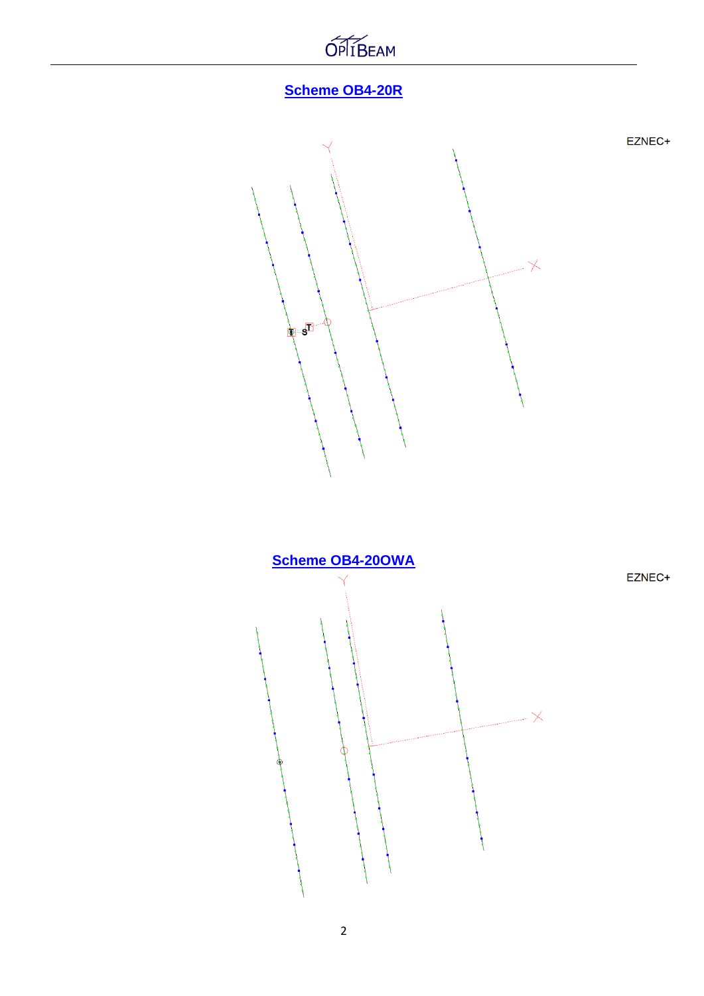

## **Scheme OB4-20R**



EZNEC+

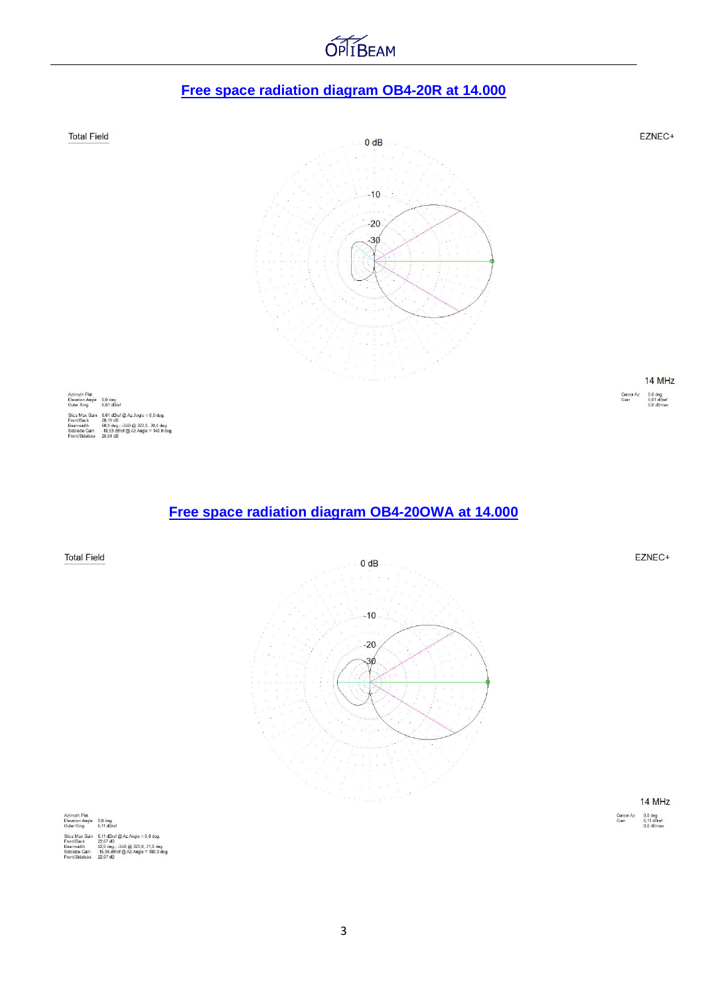# **OPITBEAM**

### **Free space radiation diagram OB4-20R at 14.000**



14 MHz Cursor Az<br>Gain  $0.0$  deg.<br>6,11 dBref<br>0.0 dBmax

| Azimuth Plot<br><b>Elevation Angle</b> | $0.0$ deg.<br>6.11 dBref              |
|----------------------------------------|---------------------------------------|
| Outer Ring                             |                                       |
| Slice Max Gain                         | $6.11$ dBref @ Az Angle = 0.0 deg.    |
| Front/Back                             | 22.07 dB                              |
| Beamwidth                              | 62.0 deg.; -3dB @ 329.0, 31.0 deg.    |
| Sidelobe Gain                          | $-15.96$ dBref @ Az Angle = 180.0 deg |
| Front/Sidelobe                         | 22.07 dB                              |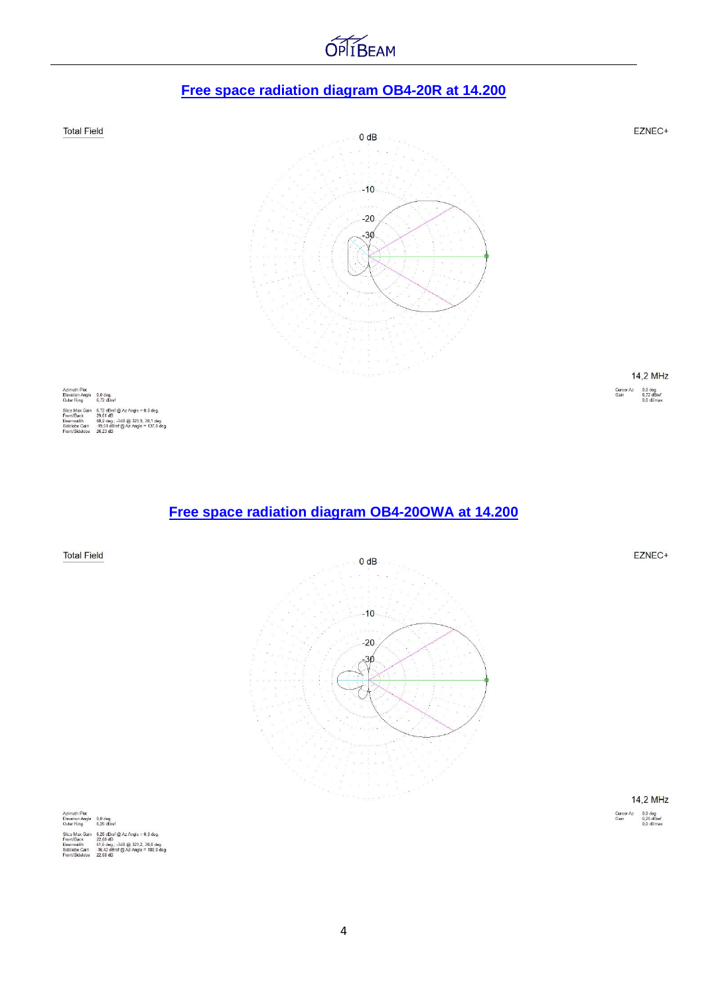# **Free space radiation diagram OB4-20R at 14.200**

**OPITBEAM** 



#### **Free space radiation diagram OB4-20OWA at 14.200**



4

61,6 deg.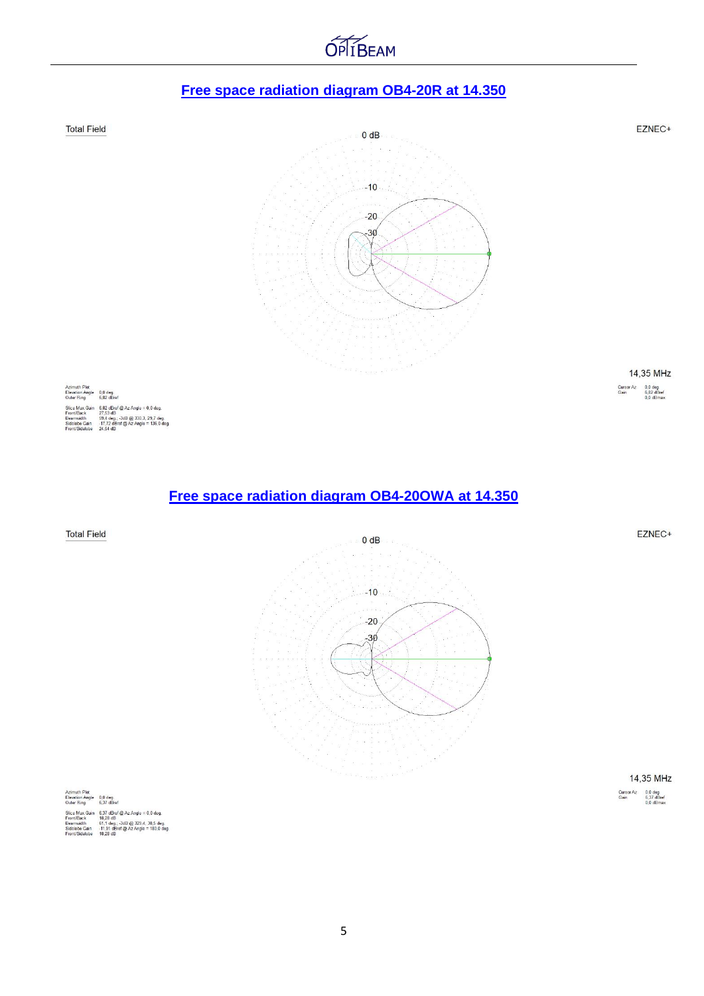# **OPITBEAM**

### **Free space radiation diagram OB4-20R at 14.350**



|                   | 14,35 MHz                               |
|-------------------|-----------------------------------------|
| Cursor Az<br>Gain | $0.0$ deg.<br>6.37 dBref<br>$0.0$ dBmax |

| Azimuth Plot           |                                        |
|------------------------|----------------------------------------|
| <b>Elevation Angle</b> | 0.0 <sub>deq</sub>                     |
| Outer Ring             | 6.37 dBref                             |
| Slice Max Gain         | $6.37$ dBref @ Az Angle = 0.0 deg.     |
| Front/Back             | 18.28 dB                               |
| Beamwidth              | 61.1 deg.: -3dB @ 329.4. 30.5 deg.     |
| Sidelobe Gain          | $-11,91$ dBref @ Az Angle = 180,0 deg. |
| Front/Sidelobe         | 18.28 dB                               |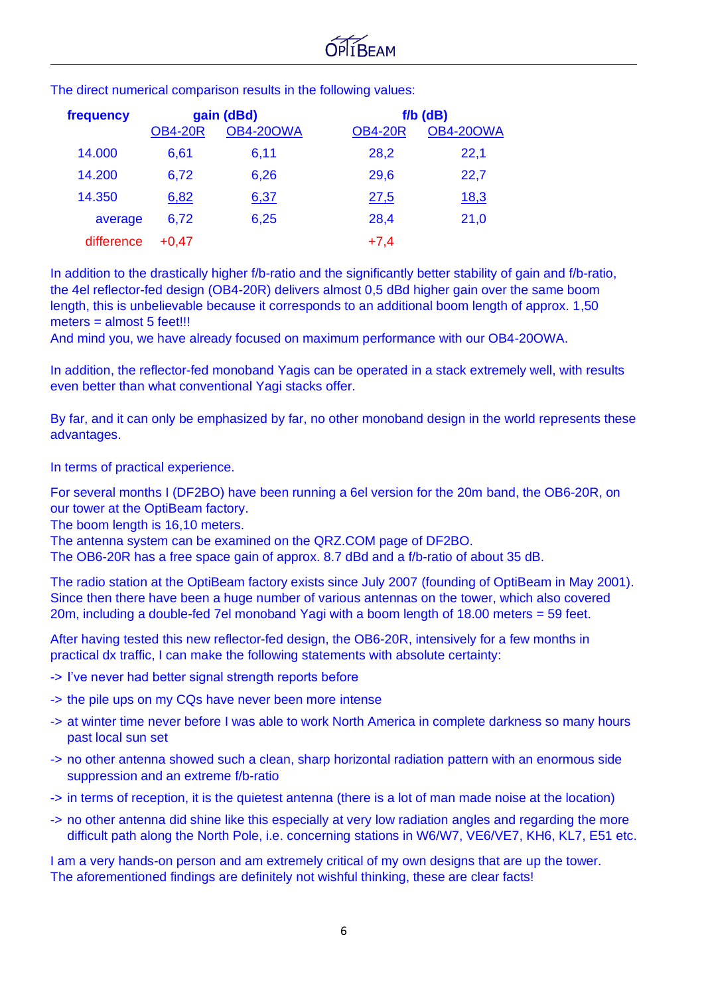| frequency  | gain (dBd)     |                  | $f/b$ ( $dB$ ) |                  |
|------------|----------------|------------------|----------------|------------------|
|            | <b>OB4-20R</b> | <b>OB4-20OWA</b> | <b>OB4-20R</b> | <b>OB4-20OWA</b> |
| 14.000     | 6,61           | 6,11             | 28,2           | 22,1             |
| 14.200     | 6,72           | 6,26             | 29,6           | 22,7             |
| 14.350     | 6,82           | 6,37             | 27,5           | <u>18,3</u>      |
| average    | 6,72           | 6,25             | 28,4           | 21,0             |
| difference | $+0.47$        |                  | $+7,4$         |                  |

The direct numerical comparison results in the following values:

In addition to the drastically higher f/b-ratio and the significantly better stability of gain and f/b-ratio, the 4el reflector-fed design (OB4-20R) delivers almost 0,5 dBd higher gain over the same boom length, this is unbelievable because it corresponds to an additional boom length of approx. 1,50 meters = almost 5 feet!!!

And mind you, we have already focused on maximum performance with our OB4-20OWA.

In addition, the reflector-fed monoband Yagis can be operated in a stack extremely well, with results even better than what conventional Yagi stacks offer.

By far, and it can only be emphasized by far, no other monoband design in the world represents these advantages.

In terms of practical experience.

For several months I (DF2BO) have been running a 6el version for the 20m band, the OB6-20R, on our tower at the OptiBeam factory.

The boom length is 16,10 meters.

The antenna system can be examined on the QRZ.COM page of DF2BO.

The OB6-20R has a free space gain of approx. 8.7 dBd and a f/b-ratio of about 35 dB.

The radio station at the OptiBeam factory exists since July 2007 (founding of OptiBeam in May 2001). Since then there have been a huge number of various antennas on the tower, which also covered 20m, including a double-fed 7el monoband Yagi with a boom length of 18.00 meters = 59 feet.

After having tested this new reflector-fed design, the OB6-20R, intensively for a few months in practical dx traffic, I can make the following statements with absolute certainty:

- -> I've never had better signal strength reports before
- -> the pile ups on my CQs have never been more intense
- -> at winter time never before I was able to work North America in complete darkness so many hours past local sun set
- -> no other antenna showed such a clean, sharp horizontal radiation pattern with an enormous side suppression and an extreme f/b-ratio
- -> in terms of reception, it is the quietest antenna (there is a lot of man made noise at the location)
- -> no other antenna did shine like this especially at very low radiation angles and regarding the more difficult path along the North Pole, i.e. concerning stations in W6/W7, VE6/VE7, KH6, KL7, E51 etc.

I am a very hands-on person and am extremely critical of my own designs that are up the tower. The aforementioned findings are definitely not wishful thinking, these are clear facts!